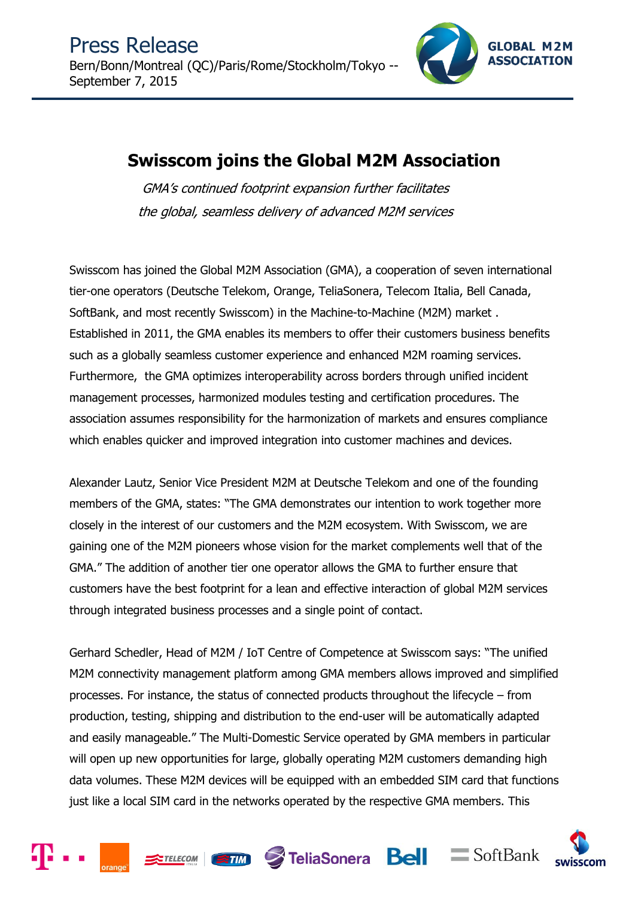

# **Swisscom joins the Global M2M Association**

GMA's continued footprint expansion further facilitates the global, seamless delivery of advanced M2M services

Swisscom has joined the Global M2M Association (GMA), a cooperation of seven international tier-one operators (Deutsche Telekom, Orange, TeliaSonera, Telecom Italia, Bell Canada, SoftBank, and most recently Swisscom) in the Machine-to-Machine (M2M) market . Established in 2011, the GMA enables its members to offer their customers business benefits such as a globally seamless customer experience and enhanced M2M roaming services. Furthermore, the GMA optimizes interoperability across borders through unified incident management processes, harmonized modules testing and certification procedures. The association assumes responsibility for the harmonization of markets and ensures compliance which enables quicker and improved integration into customer machines and devices.

Alexander Lautz, Senior Vice President M2M at Deutsche Telekom and one of the founding members of the GMA, states: "The GMA demonstrates our intention to work together more closely in the interest of our customers and the M2M ecosystem. With Swisscom, we are gaining one of the M2M pioneers whose vision for the market complements well that of the GMA." The addition of another tier one operator allows the GMA to further ensure that customers have the best footprint for a lean and effective interaction of global M2M services through integrated business processes and a single point of contact.

Gerhard Schedler, Head of M2M / IoT Centre of Competence at Swisscom says: "The unified M2M connectivity management platform among GMA members allows improved and simplified processes. For instance, the status of connected products throughout the lifecycle – from production, testing, shipping and distribution to the end-user will be automatically adapted and easily manageable." The Multi-Domestic Service operated by GMA members in particular will open up new opportunities for large, globally operating M2M customers demanding high data volumes. These M2M devices will be equipped with an embedded SIM card that functions just like a local SIM card in the networks operated by the respective GMA members. This

STELECOM STIM STeliaSonera Bell = SoftBank